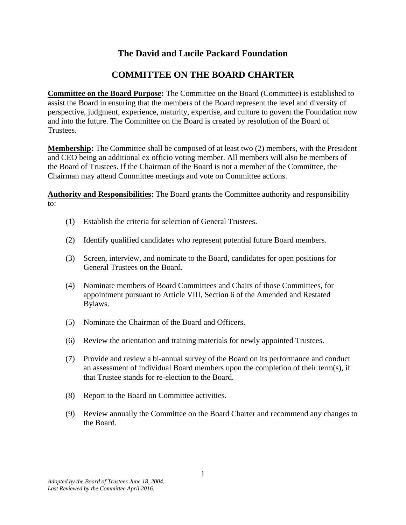## **The David and Lucile Packard Foundation**

## **COMMITTEE ON THE BOARD CHARTER**

**Committee on the Board Purpose:** The Committee on the Board (Committee) is established to assist the Board in ensuring that the members of the Board represent the level and diversity of perspective, judgment, experience, maturity, expertise, and culture to govern the Foundation now and into the future. The Committee on the Board is created by resolution of the Board of Trustees.

**Membership:** The Committee shall be composed of at least two (2) members, with the President and CEO being an additional ex officio voting member. All members will also be members of the Board of Trustees. If the Chairman of the Board is not a member of the Committee, the Chairman may attend Committee meetings and vote on Committee actions.

**Authority and Responsibilities:** The Board grants the Committee authority and responsibility to:

- (1) Establish the criteria for selection of General Trustees.
- (2) Identify qualified candidates who represent potential future Board members.
- (3) Screen, interview, and nominate to the Board, candidates for open positions for General Trustees on the Board.
- (4) Nominate members of Board Committees and Chairs of those Committees, for appointment pursuant to Article VIII, Section 6 of the Amended and Restated Bylaws.
- (5) Nominate the Chairman of the Board and Officers.
- (6) Review the orientation and training materials for newly appointed Trustees.
- (7) Provide and review a bi-annual survey of the Board on its performance and conduct an assessment of individual Board members upon the completion of their term $(s)$ , if that Trustee stands for re-election to the Board.
- (8) Report to the Board on Committee activities.
- (9) Review annually the Committee on the Board Charter and recommend any changes to the Board.